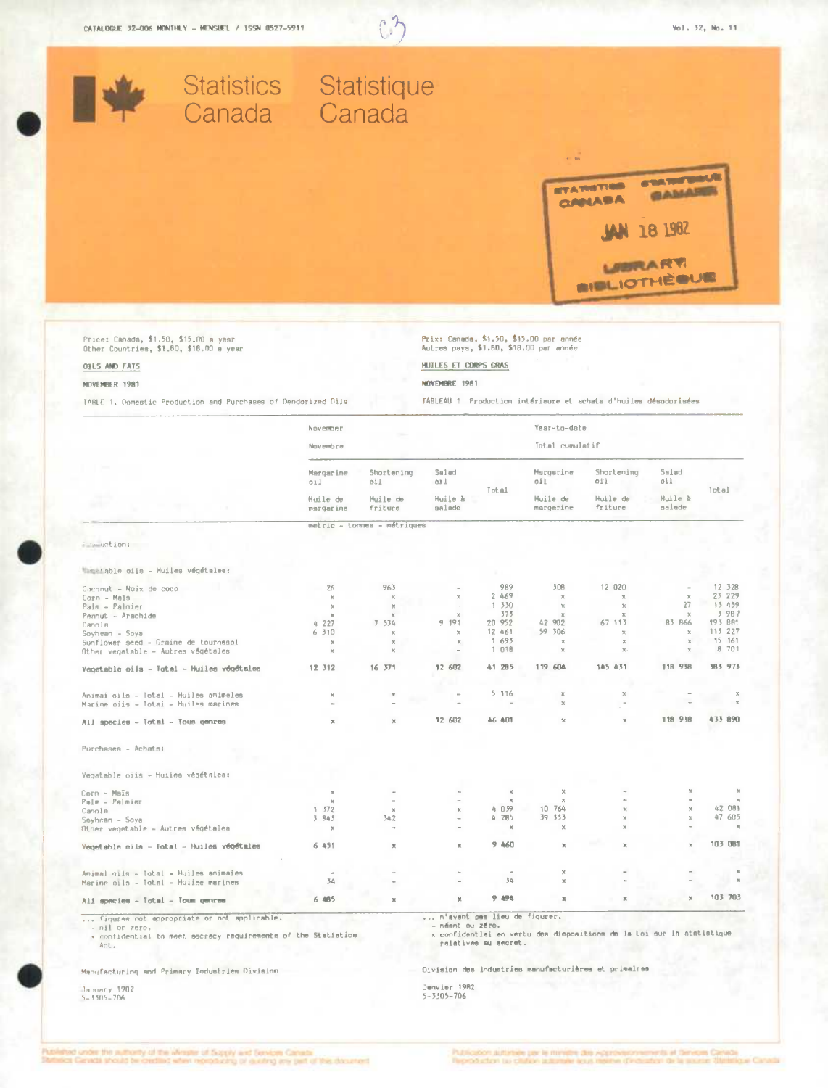

x confidential to meet secrecy requirements of the Statistics

Manufacturing and Primary Industries Division

-<br>3ночиту 1982<br>5-33П5-706

Division des industries manufacturières et primalres

Jenvier 1982<br>5-3305-706